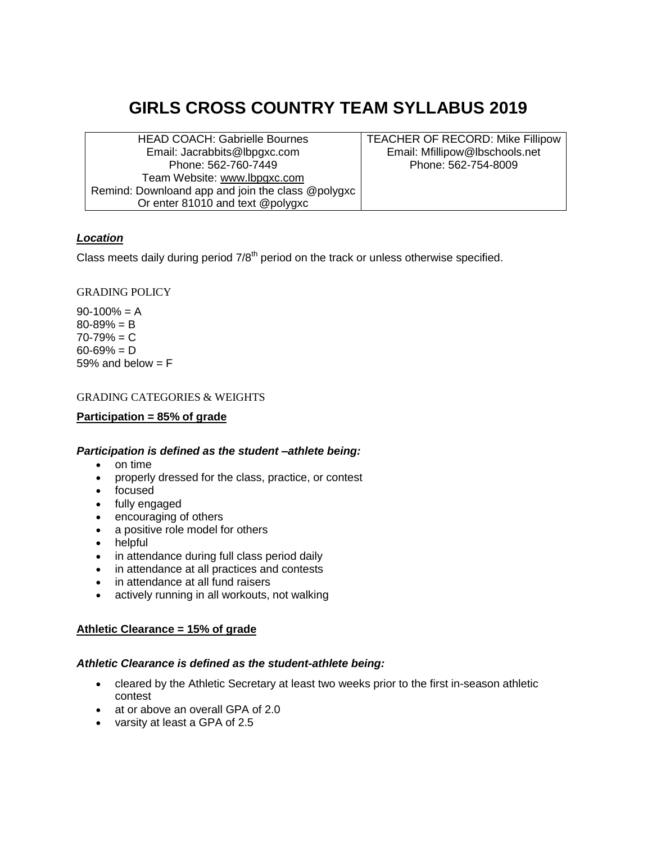# **GIRLS CROSS COUNTRY TEAM SYLLABUS 2019**

HEAD COACH: Gabrielle Bournes Email: Jacrabbits@lbpgxc.com Phone: 562-760-7449 Team Website: [www.lbpgxc.com](http://www.lbpgxc.com/) Remind: Downloand app and join the class @polygxc Or enter 81010 and text @polygxc

TEACHER OF RECORD: Mike Fillipow Email: Mfillipow@lbschools.net Phone: 562-754-8009

# *Location*

Class meets daily during period  $7/8<sup>th</sup>$  period on the track or unless otherwise specified.

# GRADING POLICY

 $90-100% = A$  $80 - 89\% = B$  $70 - 79\% = C$  $60 - 69\% = D$ 59% and below  $=$  F

## GRADING CATEGORIES & WEIGHTS

#### **Participation = 85% of grade**

## *Participation is defined as the student –athlete being:*

- on time
- properly dressed for the class, practice, or contest
- focused
- fully engaged
- encouraging of others
- a positive role model for others
- helpful
- in attendance during full class period daily
- in attendance at all practices and contests
- in attendance at all fund raisers
- actively running in all workouts, not walking

## **Athletic Clearance = 15% of grade**

#### *Athletic Clearance is defined as the student-athlete being:*

- cleared by the Athletic Secretary at least two weeks prior to the first in-season athletic contest
- at or above an overall GPA of 2.0
- varsity at least a GPA of 2.5